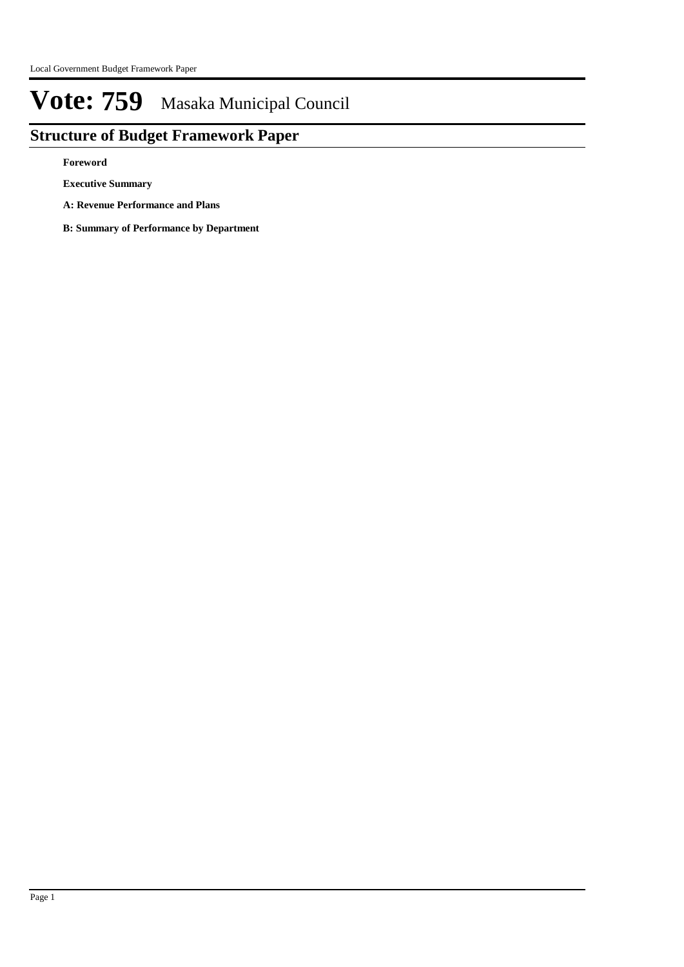# **Structure of Budget Framework Paper**

**Foreword**

**Executive Summary**

**A: Revenue Performance and Plans**

**B: Summary of Performance by Department**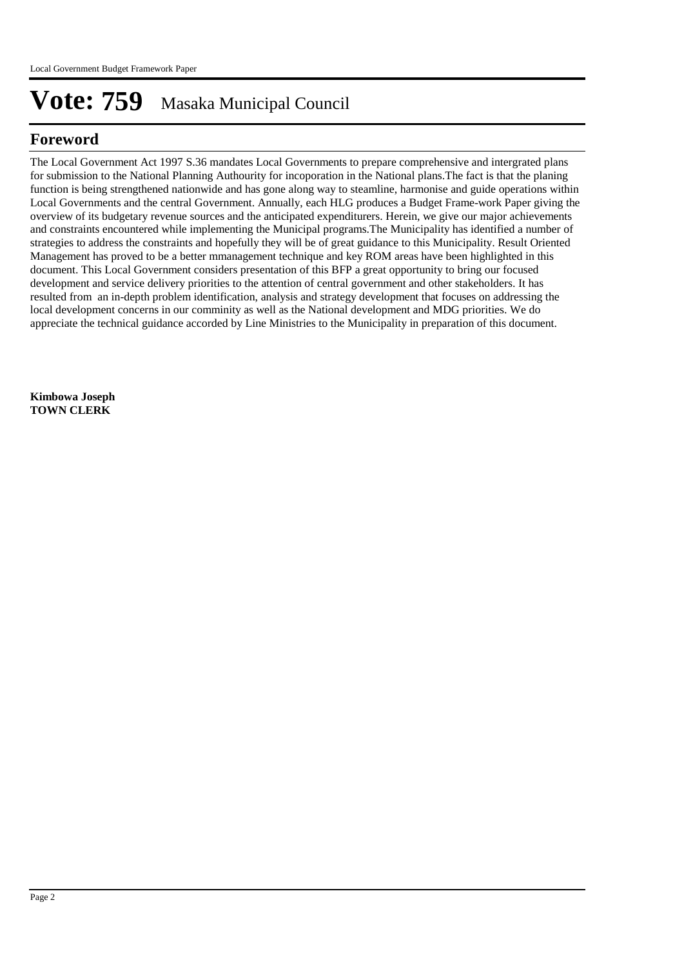## **Foreword**

The Local Government Act 1997 S.36 mandates Local Governments to prepare comprehensive and intergrated plans for submission to the National Planning Authourity for incoporation in the National plans.The fact is that the planing function is being strengthened nationwide and has gone along way to steamline, harmonise and guide operations within Local Governments and the central Government. Annually, each HLG produces a Budget Frame-work Paper giving the overview of its budgetary revenue sources and the anticipated expenditurers. Herein, we give our major achievements and constraints encountered while implementing the Municipal programs.The Municipality has identified a number of strategies to address the constraints and hopefully they will be of great guidance to this Municipality. Result Oriented Management has proved to be a better mmanagement technique and key ROM areas have been highlighted in this document. This Local Government considers presentation of this BFP a great opportunity to bring our focused development and service delivery priorities to the attention of central government and other stakeholders. It has resulted from an in-depth problem identification, analysis and strategy development that focuses on addressing the local development concerns in our comminity as well as the National development and MDG priorities. We do appreciate the technical guidance accorded by Line Ministries to the Municipality in preparation of this document.

**Kimbowa Joseph TOWN CLERK**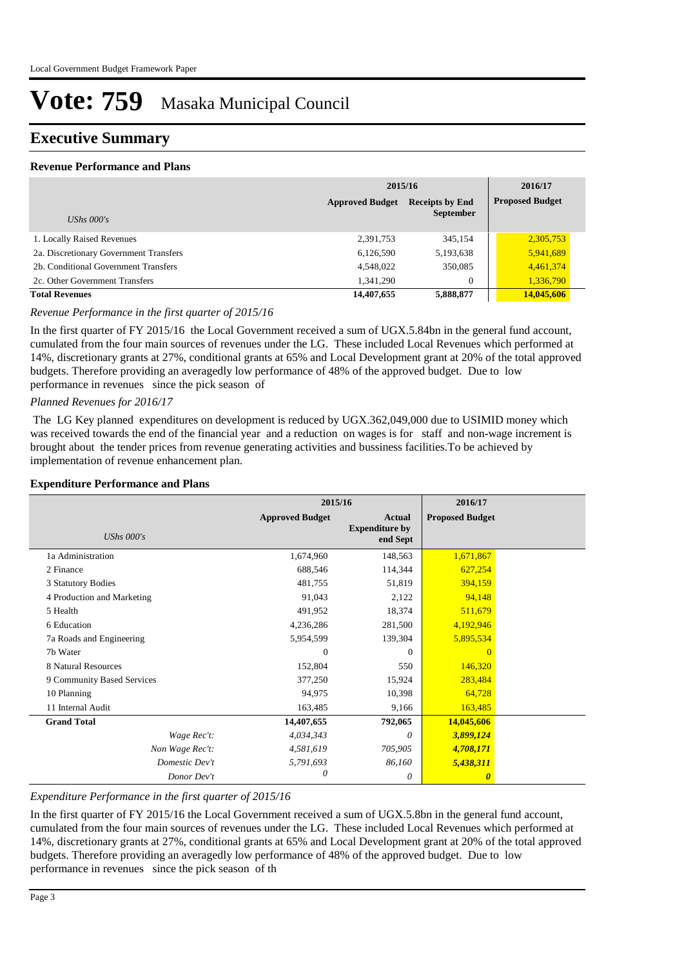## **Executive Summary**

#### **Revenue Performance and Plans**

|                                        | 2015/16                | 2016/17                                    |                        |
|----------------------------------------|------------------------|--------------------------------------------|------------------------|
| UShs $000's$                           | <b>Approved Budget</b> | <b>Receipts by End</b><br><b>September</b> | <b>Proposed Budget</b> |
|                                        |                        |                                            |                        |
| 1. Locally Raised Revenues             | 2,391,753              | 345,154                                    | 2,305,753              |
| 2a. Discretionary Government Transfers | 6,126,590              | 5,193,638                                  | 5,941,689              |
| 2b. Conditional Government Transfers   | 4,548,022              | 350,085                                    | 4,461,374              |
| 2c. Other Government Transfers         | 1,341,290              | $\theta$                                   | 1,336,790              |
| <b>Total Revenues</b>                  | 14,407,655             | 5,888,877                                  | 14,045,606             |

*Revenue Performance in the first quarter of 2015/16*

In the first quarter of FY 2015/16 the Local Government received a sum of UGX.5.84bn in the general fund account, cumulated from the four main sources of revenues under the LG. These included Local Revenues which performed at 14%, discretionary grants at 27%, conditional grants at 65% and Local Development grant at 20% of the total approved budgets. Therefore providing an averagedly low performance of 48% of the approved budget. Due to low performance in revenues since the pick season of

*Planned Revenues for 2016/17*

 The LG Key planned expenditures on development is reduced by UGX.362,049,000 due to USIMID money which was received towards the end of the financial year and a reduction on wages is for staff and non-wage increment is brought about the tender prices from revenue generating activities and bussiness facilities.To be achieved by implementation of revenue enhancement plan.

#### **Expenditure Performance and Plans**

|                            | 2015/16                |                                                    | 2016/17                |  |
|----------------------------|------------------------|----------------------------------------------------|------------------------|--|
| UShs $000's$               | <b>Approved Budget</b> | <b>Actual</b><br><b>Expenditure by</b><br>end Sept | <b>Proposed Budget</b> |  |
| 1a Administration          | 1,674,960              | 148,563                                            | 1,671,867              |  |
| 2 Finance                  | 688,546                | 114,344                                            | 627,254                |  |
| 3 Statutory Bodies         | 481,755                | 51,819                                             | 394,159                |  |
| 4 Production and Marketing | 91,043                 | 2,122                                              | 94,148                 |  |
| 5 Health                   | 491,952                | 18,374                                             | 511,679                |  |
| 6 Education                | 4,236,286              | 281,500                                            | 4,192,946              |  |
| 7a Roads and Engineering   | 5,954,599              | 139,304                                            | 5,895,534              |  |
| 7b Water                   | $\Omega$               | $\Omega$                                           | $\Omega$               |  |
| 8 Natural Resources        | 152,804                | 550                                                | 146,320                |  |
| 9 Community Based Services | 377,250                | 15,924                                             | 283,484                |  |
| 10 Planning                | 94,975                 | 10,398                                             | 64,728                 |  |
| 11 Internal Audit          | 163,485                | 9,166                                              | 163,485                |  |
| <b>Grand Total</b>         | 14,407,655             | 792,065                                            | 14,045,606             |  |
| Wage Rec't:                | 4,034,343              | 0                                                  | 3,899,124              |  |
| Non Wage Rec't:            | 4,581,619              | 705,905                                            | 4,708,171              |  |
| Domestic Dev't             | 5,791,693              | 86,160                                             | 5,438,311              |  |
| Donor Dev't                | 0                      | 0                                                  | $\boldsymbol{\theta}$  |  |

*Expenditure Performance in the first quarter of 2015/16*

In the first quarter of FY 2015/16 the Local Government received a sum of UGX.5.8bn in the general fund account, cumulated from the four main sources of revenues under the LG. These included Local Revenues which performed at 14%, discretionary grants at 27%, conditional grants at 65% and Local Development grant at 20% of the total approved budgets. Therefore providing an averagedly low performance of 48% of the approved budget. Due to low performance in revenues since the pick season of th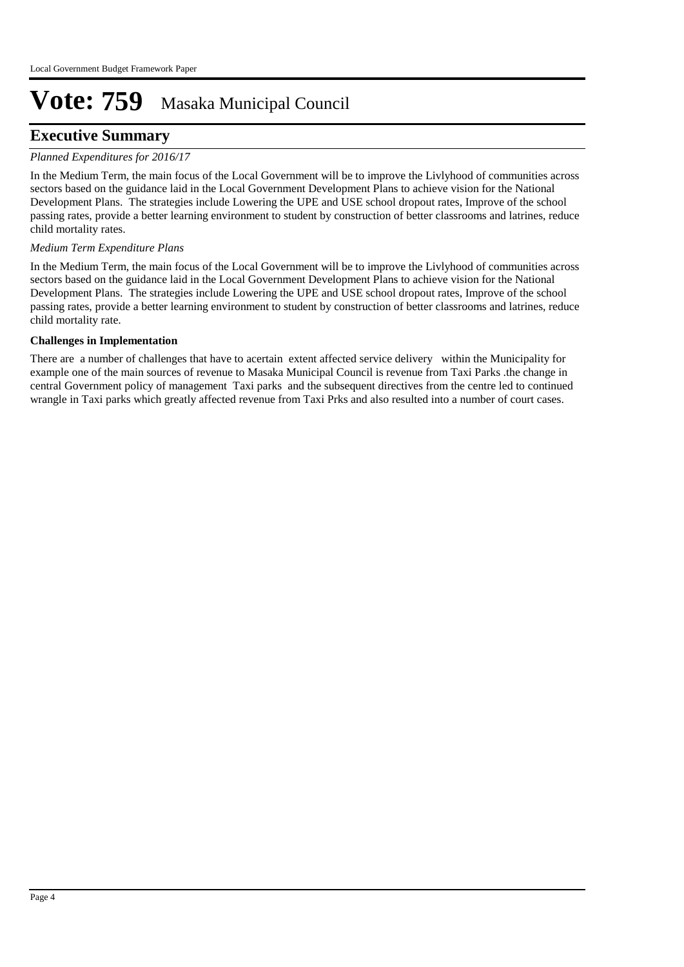## **Executive Summary**

#### *Planned Expenditures for 2016/17*

In the Medium Term, the main focus of the Local Government will be to improve the Livlyhood of communities across sectors based on the guidance laid in the Local Government Development Plans to achieve vision for the National Development Plans. The strategies include Lowering the UPE and USE school dropout rates, Improve of the school passing rates, provide a better learning environment to student by construction of better classrooms and latrines, reduce child mortality rates.

#### *Medium Term Expenditure Plans*

In the Medium Term, the main focus of the Local Government will be to improve the Livlyhood of communities across sectors based on the guidance laid in the Local Government Development Plans to achieve vision for the National Development Plans. The strategies include Lowering the UPE and USE school dropout rates, Improve of the school passing rates, provide a better learning environment to student by construction of better classrooms and latrines, reduce child mortality rate.

#### **Challenges in Implementation**

There are a number of challenges that have to acertain extent affected service delivery within the Municipality for example one of the main sources of revenue to Masaka Municipal Council is revenue from Taxi Parks .the change in central Government policy of management Taxi parks and the subsequent directives from the centre led to continued wrangle in Taxi parks which greatly affected revenue from Taxi Prks and also resulted into a number of court cases.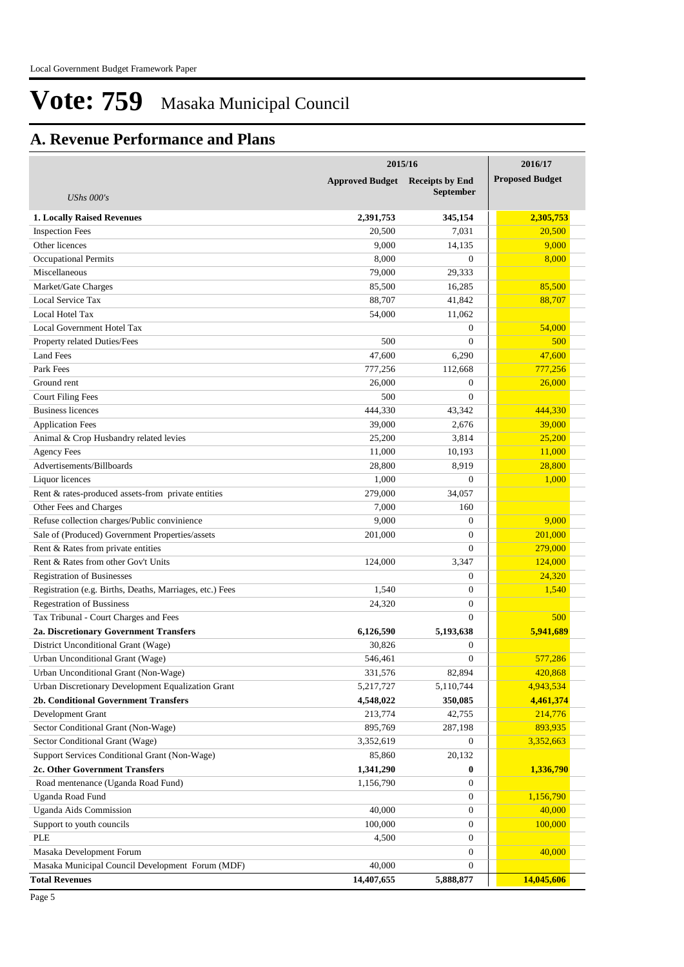# **A. Revenue Performance and Plans**

|                                                          | 2015/16                | 2016/17                                    |                        |
|----------------------------------------------------------|------------------------|--------------------------------------------|------------------------|
| UShs $000's$                                             | <b>Approved Budget</b> | <b>Receipts by End</b><br><b>September</b> | <b>Proposed Budget</b> |
| 1. Locally Raised Revenues                               | 2,391,753              | 345,154                                    | 2,305,753              |
| <b>Inspection Fees</b>                                   | 20,500                 | 7,031                                      | 20,500                 |
| Other licences                                           | 9,000                  | 14,135                                     | 9,000                  |
| <b>Occupational Permits</b>                              | 8,000                  | 0                                          | 8,000                  |
| Miscellaneous                                            | 79,000                 | 29,333                                     |                        |
| Market/Gate Charges                                      | 85,500                 | 16,285                                     | 85,500                 |
| Local Service Tax                                        | 88,707                 | 41,842                                     | 88,707                 |
| Local Hotel Tax                                          | 54,000                 | 11,062                                     |                        |
| Local Government Hotel Tax                               |                        | 0                                          | 54,000                 |
| Property related Duties/Fees                             | 500                    | $\overline{0}$                             | 500                    |
| Land Fees                                                | 47,600                 | 6,290                                      | 47,600                 |
| Park Fees                                                | 777,256                | 112,668                                    | 777,256                |
| Ground rent                                              | 26,000                 | 0                                          | 26,000                 |
| <b>Court Filing Fees</b>                                 | 500                    | $\overline{0}$                             |                        |
| <b>Business licences</b>                                 | 444,330                | 43,342                                     | 444,330                |
| <b>Application Fees</b>                                  | 39,000                 | 2,676                                      | 39,000                 |
| Animal & Crop Husbandry related levies                   | 25,200                 | 3,814                                      | 25,200                 |
| <b>Agency Fees</b>                                       | 11,000                 | 10,193                                     | 11,000                 |
| Advertisements/Billboards                                | 28,800                 | 8,919                                      | 28,800                 |
| Liquor licences                                          | 1,000                  | $\overline{0}$                             | 1,000                  |
| Rent & rates-produced assets-from private entities       | 279,000                | 34,057                                     |                        |
| Other Fees and Charges                                   | 7,000                  | 160                                        |                        |
| Refuse collection charges/Public convinience             | 9,000                  | $\boldsymbol{0}$                           | 9,000                  |
| Sale of (Produced) Government Properties/assets          | 201,000                | $\overline{0}$                             | 201,000                |
| Rent & Rates from private entities                       |                        | $\mathbf{0}$                               | 279,000                |
| Rent & Rates from other Gov't Units                      | 124,000                | 3,347                                      | 124,000                |
| <b>Registration of Businesses</b>                        |                        | $\mathbf{0}$                               | 24,320                 |
| Registration (e.g. Births, Deaths, Marriages, etc.) Fees | 1,540                  | $\overline{0}$                             | 1,540                  |
| <b>Regestration of Bussiness</b>                         | 24,320                 | $\overline{0}$                             |                        |
| Tax Tribunal - Court Charges and Fees                    |                        | $\Omega$                                   | 500                    |
| 2a. Discretionary Government Transfers                   | 6,126,590              | 5,193,638                                  | 5,941,689              |
| District Unconditional Grant (Wage)                      | 30,826                 | $\boldsymbol{0}$                           |                        |
| Urban Unconditional Grant (Wage)                         | 546,461                | $\boldsymbol{0}$                           | 577,286                |
| Urban Unconditional Grant (Non-Wage)                     | 331,576                | 82,894                                     | 420,868                |
| Urban Discretionary Development Equalization Grant       | 5,217,727              | 5,110,744                                  | 4,943,534              |
| 2b. Conditional Government Transfers                     | 4,548,022              | 350,085                                    | 4,461,374              |
| Development Grant                                        | 213,774                | 42,755                                     | 214,776                |
| Sector Conditional Grant (Non-Wage)                      | 895,769                | 287,198                                    | 893,935                |
| Sector Conditional Grant (Wage)                          | 3,352,619              | 0                                          | 3,352,663              |
| Support Services Conditional Grant (Non-Wage)            | 85,860                 | 20,132                                     |                        |
| 2c. Other Government Transfers                           | 1,341,290              | 0                                          | 1,336,790              |
| Road mentenance (Uganda Road Fund)                       | 1,156,790              | 0                                          |                        |
| Uganda Road Fund                                         |                        | $\boldsymbol{0}$                           | 1,156,790              |
| Uganda Aids Commission                                   | 40,000                 | 0                                          | 40,000                 |
| Support to youth councils                                | 100,000                | $\boldsymbol{0}$                           | 100,000                |
| PLE                                                      | 4,500                  | 0                                          |                        |
| Masaka Development Forum                                 |                        | 0                                          | 40,000                 |
| Masaka Municipal Council Development Forum (MDF)         | 40,000                 | 0                                          |                        |
| <b>Total Revenues</b>                                    | 14,407,655             | 5,888,877                                  | 14,045,606             |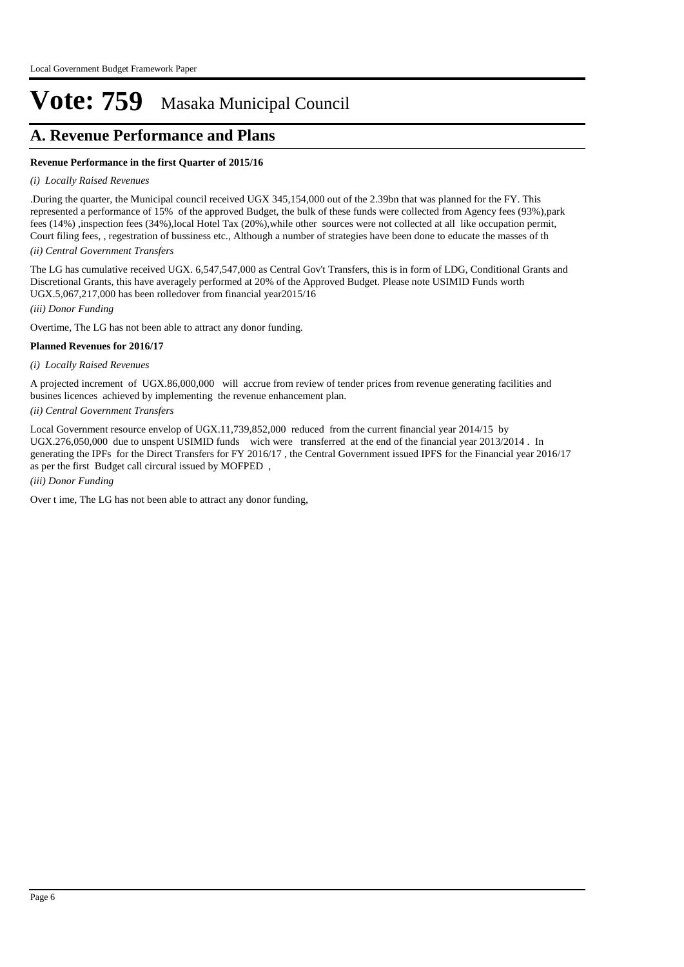## **A. Revenue Performance and Plans**

#### **Revenue Performance in the first Quarter of 2015/16**

#### *(i) Locally Raised Revenues*

.During the quarter, the Municipal council received UGX 345,154,000 out of the 2.39bn that was planned for the FY. This represented a performance of 15% of the approved Budget, the bulk of these funds were collected from Agency fees (93%),park fees (14%) ,inspection fees (34%),local Hotel Tax (20%),while other sources were not collected at all like occupation permit, Court filing fees, , regestration of bussiness etc., Although a number of strategies have been done to educate the masses of th

*(ii) Central Government Transfers*

The LG has cumulative received UGX. 6,547,547,000 as Central Gov't Transfers, this is in form of LDG, Conditional Grants and Discretional Grants, this have averagely performed at 20% of the Approved Budget. Please note USIMID Funds worth UGX.5,067,217,000 has been rolledover from financial year2015/16

*(iii) Donor Funding*

Overtime, The LG has not been able to attract any donor funding.

#### **Planned Revenues for 2016/17**

#### *(i) Locally Raised Revenues*

A projected increment of UGX.86,000,000 will accrue from review of tender prices from revenue generating facilities and busines licences achieved by implementing the revenue enhancement plan.

#### *(ii) Central Government Transfers*

Local Government resource envelop of UGX.11,739,852,000 reduced from the current financial year 2014/15 by UGX.276,050,000 due to unspent USIMID funds wich were transferred at the end of the financial year 2013/2014 . In generating the IPFs for the Direct Transfers for FY 2016/17 , the Central Government issued IPFS for the Financial year 2016/17 as per the first Budget call circural issued by MOFPED ,

*(iii) Donor Funding*

Over t ime, The LG has not been able to attract any donor funding,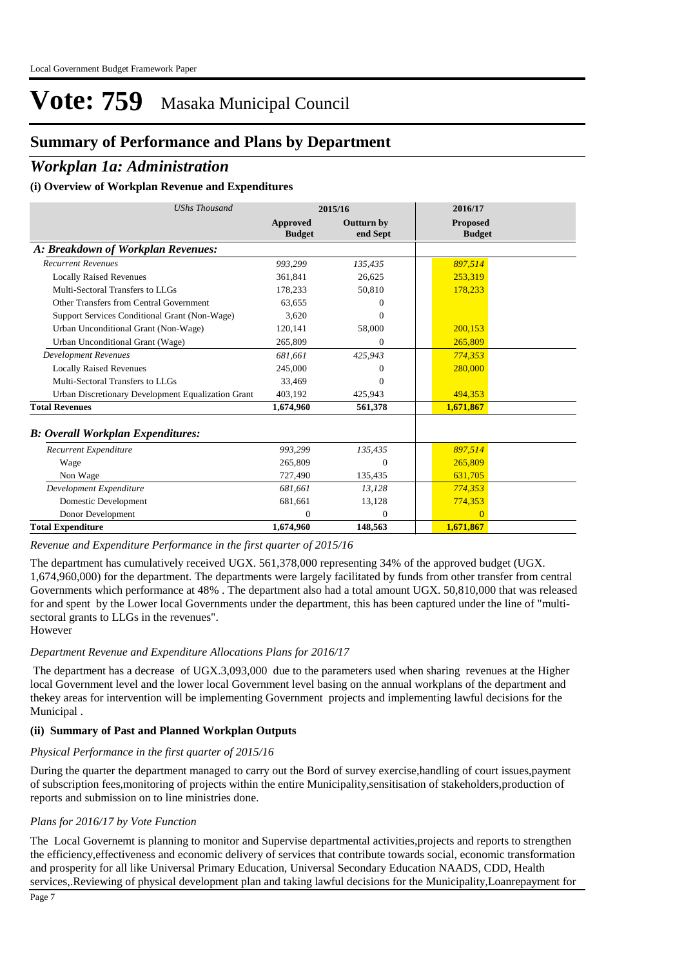## **Summary of Performance and Plans by Department**

## *Workplan 1a: Administration*

#### **(i) Overview of Workplan Revenue and Expenditures**

| <b>UShs Thousand</b>                               |                           | 2015/16                       | 2016/17                          |
|----------------------------------------------------|---------------------------|-------------------------------|----------------------------------|
|                                                    | Approved<br><b>Budget</b> | <b>Outturn by</b><br>end Sept | <b>Proposed</b><br><b>Budget</b> |
| A: Breakdown of Workplan Revenues:                 |                           |                               |                                  |
| <b>Recurrent Revenues</b>                          | 993,299                   | 135,435                       | 897,514                          |
| <b>Locally Raised Revenues</b>                     | 361,841                   | 26,625                        | 253,319                          |
| Multi-Sectoral Transfers to LLGs                   | 178.233                   | 50,810                        | 178,233                          |
| Other Transfers from Central Government            | 63.655                    | 0                             |                                  |
| Support Services Conditional Grant (Non-Wage)      | 3.620                     | $\Omega$                      |                                  |
| Urban Unconditional Grant (Non-Wage)               | 120,141                   | 58,000                        | 200.153                          |
| Urban Unconditional Grant (Wage)                   | 265,809                   | $\mathbf{0}$                  | 265,809                          |
| <b>Development Revenues</b>                        | 681,661                   | 425,943                       | 774,353                          |
| <b>Locally Raised Revenues</b>                     | 245,000                   | $\Omega$                      | 280,000                          |
| Multi-Sectoral Transfers to LLGs                   | 33,469                    | $\Omega$                      |                                  |
| Urban Discretionary Development Equalization Grant | 403,192                   | 425,943                       | 494,353                          |
| <b>Total Revenues</b>                              | 1,674,960                 | 561,378                       | 1,671,867                        |
| <b>B: Overall Workplan Expenditures:</b>           |                           |                               |                                  |
| Recurrent Expenditure                              | 993,299                   | 135,435                       | 897,514                          |
| Wage                                               | 265,809                   | $\Omega$                      | 265,809                          |
| Non Wage                                           | 727,490                   | 135,435                       | 631,705                          |
| Development Expenditure                            | 681.661                   | 13,128                        | 774,353                          |
| Domestic Development                               | 681,661                   | 13,128                        | 774,353                          |
| Donor Development                                  | 0                         | $\Omega$                      | $\Omega$                         |
| <b>Total Expenditure</b>                           | 1,674,960                 | 148,563                       | 1,671,867                        |

#### *Revenue and Expenditure Performance in the first quarter of 2015/16*

The department has cumulatively received UGX. 561,378,000 representing 34% of the approved budget (UGX. 1,674,960,000) for the department. The departments were largely facilitated by funds from other transfer from central Governments which performance at 48% . The department also had a total amount UGX. 50,810,000 that was released for and spent by the Lower local Governments under the department, this has been captured under the line of "multisectoral grants to LLGs in the revenues".

## However

### *Department Revenue and Expenditure Allocations Plans for 2016/17*

 The department has a decrease of UGX.3,093,000 due to the parameters used when sharing revenues at the Higher local Government level and the lower local Government level basing on the annual workplans of the department and thekey areas for intervention will be implementing Government projects and implementing lawful decisions for the Municipal .

## **(ii) Summary of Past and Planned Workplan Outputs**

## *Physical Performance in the first quarter of 2015/16*

During the quarter the department managed to carry out the Bord of survey exercise,handling of court issues,payment of subscription fees,monitoring of projects within the entire Municipality,sensitisation of stakeholders,production of reports and submission on to line ministries done.

## *Plans for 2016/17 by Vote Function*

The Local Governemt is planning to monitor and Supervise departmental activities,projects and reports to strengthen the efficiency,effectiveness and economic delivery of services that contribute towards social, economic transformation and prosperity for all like Universal Primary Education, Universal Secondary Education NAADS, CDD, Health services,.Reviewing of physical development plan and taking lawful decisions for the Municipality,Loanrepayment for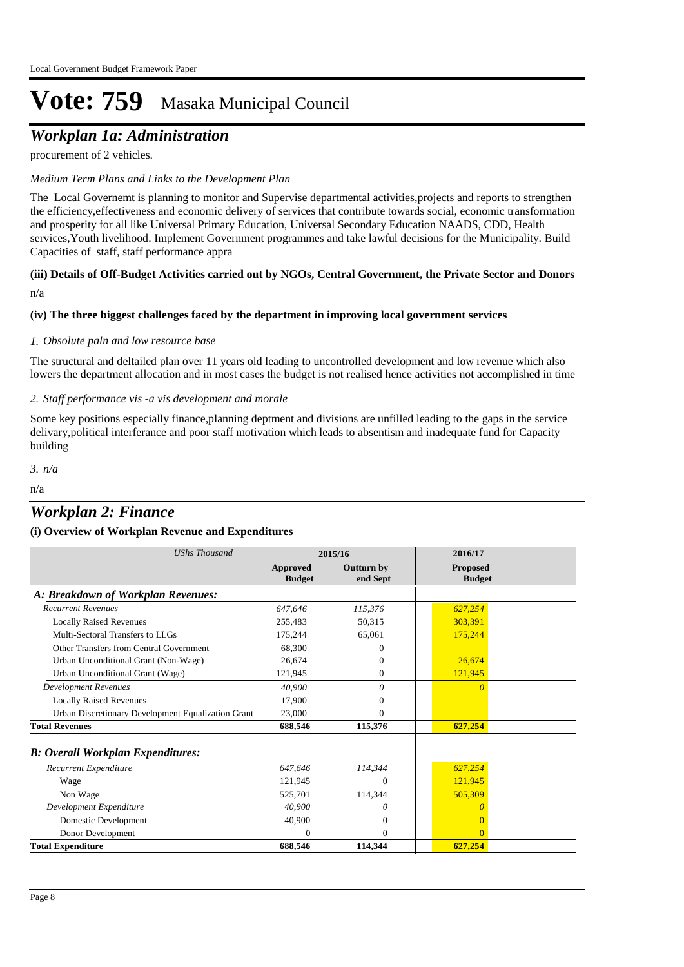## *Workplan 1a: Administration*

procurement of 2 vehicles.

### *Medium Term Plans and Links to the Development Plan*

The Local Governemt is planning to monitor and Supervise departmental activities,projects and reports to strengthen the efficiency,effectiveness and economic delivery of services that contribute towards social, economic transformation and prosperity for all like Universal Primary Education, Universal Secondary Education NAADS, CDD, Health services,Youth livelihood. Implement Government programmes and take lawful decisions for the Municipality. Build Capacities of staff, staff performance appra

#### n/a **(iii) Details of Off-Budget Activities carried out by NGOs, Central Government, the Private Sector and Donors**

#### **(iv) The three biggest challenges faced by the department in improving local government services**

#### *Obsolute paln and low resource base 1.*

The structural and deltailed plan over 11 years old leading to uncontrolled development and low revenue which also lowers the department allocation and in most cases the budget is not realised hence activities not accomplished in time

#### *Staff performance vis -a vis development and morale 2.*

Some key positions especially finance,planning deptment and divisions are unfilled leading to the gaps in the service delivary,political interferance and poor staff motivation which leads to absentism and inadequate fund for Capacity building

*n/a 3.*

n/a

## *Workplan 2: Finance*

#### **(i) Overview of Workplan Revenue and Expenditures**

| <b>UShs Thousand</b>                               |                                  | 2015/16                       | 2016/17                          |
|----------------------------------------------------|----------------------------------|-------------------------------|----------------------------------|
|                                                    | <b>Approved</b><br><b>Budget</b> | <b>Outturn by</b><br>end Sept | <b>Proposed</b><br><b>Budget</b> |
| A: Breakdown of Workplan Revenues:                 |                                  |                               |                                  |
| <b>Recurrent Revenues</b>                          | 647,646                          | 115,376                       | 627,254                          |
| <b>Locally Raised Revenues</b>                     | 255,483                          | 50,315                        | 303,391                          |
| Multi-Sectoral Transfers to LLGs                   | 175,244                          | 65,061                        | 175,244                          |
| Other Transfers from Central Government            | 68,300                           | $^{(1)}$                      |                                  |
| Urban Unconditional Grant (Non-Wage)               | 26,674                           | 0                             | 26,674                           |
| Urban Unconditional Grant (Wage)                   | 121,945                          | 0                             | 121,945                          |
| <b>Development Revenues</b>                        | 40,900                           | 0                             | $\Omega$                         |
| <b>Locally Raised Revenues</b>                     | 17,900                           | 0                             |                                  |
| Urban Discretionary Development Equalization Grant | 23,000                           | 0                             |                                  |
| <b>Total Revenues</b>                              | 688,546                          | 115,376                       | 627,254                          |
| <b>B: Overall Workplan Expenditures:</b>           |                                  |                               |                                  |
| Recurrent Expenditure                              | 647,646                          | 114,344                       | 627,254                          |
| Wage                                               | 121,945                          | $\Omega$                      | 121,945                          |
| Non Wage                                           | 525.701                          | 114,344                       | 505,309                          |
| Development Expenditure                            | 40,900                           | 0                             |                                  |
| Domestic Development                               | 40,900                           | $\mathbf{0}$                  |                                  |
| Donor Development                                  | 0                                | $\Omega$                      | $\Omega$                         |
| <b>Total Expenditure</b>                           | 688,546                          | 114,344                       | 627,254                          |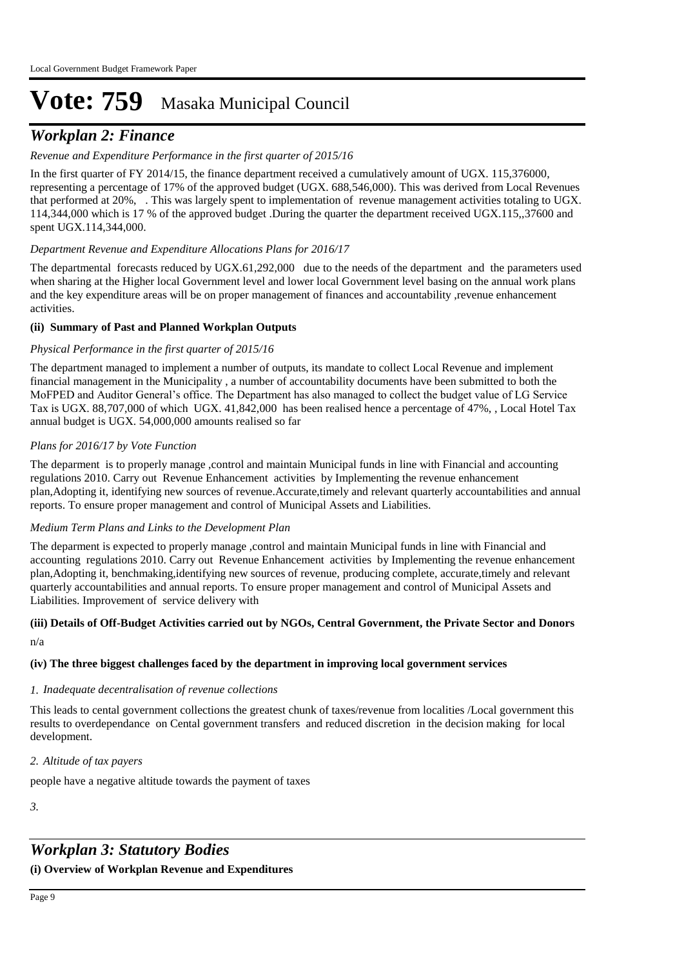## *Workplan 2: Finance*

### *Revenue and Expenditure Performance in the first quarter of 2015/16*

In the first quarter of FY 2014/15, the finance department received a cumulatively amount of UGX. 115,376000, representing a percentage of 17% of the approved budget (UGX. 688,546,000). This was derived from Local Revenues that performed at 20%, . This was largely spent to implementation of revenue management activities totaling to UGX. 114,344,000 which is 17 % of the approved budget .During the quarter the department received UGX.115,,37600 and spent UGX.114,344,000.

#### *Department Revenue and Expenditure Allocations Plans for 2016/17*

The departmental forecasts reduced by UGX.61,292,000 due to the needs of the department and the parameters used when sharing at the Higher local Government level and lower local Government level basing on the annual work plans and the key expenditure areas will be on proper management of finances and accountability ,revenue enhancement activities.

#### **(ii) Summary of Past and Planned Workplan Outputs**

#### *Physical Performance in the first quarter of 2015/16*

The department managed to implement a number of outputs, its mandate to collect Local Revenue and implement financial management in the Municipality , a number of accountability documents have been submitted to both the MoFPED and Auditor General's office. The Department has also managed to collect the budget value of LG Service Tax is UGX. 88,707,000 of which UGX. 41,842,000 has been realised hence a percentage of 47%, , Local Hotel Tax annual budget is UGX. 54,000,000 amounts realised so far

#### *Plans for 2016/17 by Vote Function*

The deparment is to properly manage ,control and maintain Municipal funds in line with Financial and accounting regulations 2010. Carry out Revenue Enhancement activities by Implementing the revenue enhancement plan,Adopting it, identifying new sources of revenue.Accurate,timely and relevant quarterly accountabilities and annual reports. To ensure proper management and control of Municipal Assets and Liabilities.

#### *Medium Term Plans and Links to the Development Plan*

The deparment is expected to properly manage ,control and maintain Municipal funds in line with Financial and accounting regulations 2010. Carry out Revenue Enhancement activities by Implementing the revenue enhancement plan,Adopting it, benchmaking,identifying new sources of revenue, producing complete, accurate,timely and relevant quarterly accountabilities and annual reports. To ensure proper management and control of Municipal Assets and Liabilities. Improvement of service delivery with

# **(iii) Details of Off-Budget Activities carried out by NGOs, Central Government, the Private Sector and Donors**

#### n/a

#### **(iv) The three biggest challenges faced by the department in improving local government services**

#### *Inadequate decentralisation of revenue collections 1.*

This leads to cental government collections the greatest chunk of taxes/revenue from localities /Local government this results to overdependance on Cental government transfers and reduced discretion in the decision making for local development.

#### *Altitude of tax payers 2.*

people have a negative altitude towards the payment of taxes

*3.*

## *Workplan 3: Statutory Bodies*

### **(i) Overview of Workplan Revenue and Expenditures**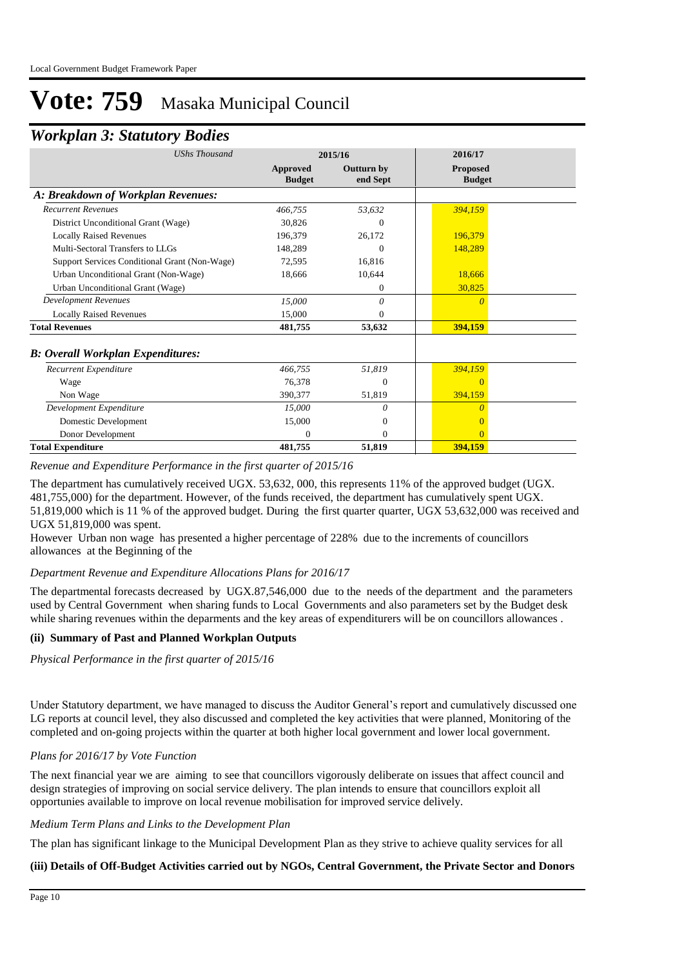## *Workplan 3: Statutory Bodies*

| <b>UShs Thousand</b>                          |                           | 2015/16                       | 2016/17                          |  |
|-----------------------------------------------|---------------------------|-------------------------------|----------------------------------|--|
|                                               | Approved<br><b>Budget</b> | <b>Outturn by</b><br>end Sept | <b>Proposed</b><br><b>Budget</b> |  |
| A: Breakdown of Workplan Revenues:            |                           |                               |                                  |  |
| <b>Recurrent Revenues</b>                     | 466,755                   | 53,632                        | 394,159                          |  |
| District Unconditional Grant (Wage)           | 30,826                    |                               |                                  |  |
| <b>Locally Raised Revenues</b>                | 196,379                   | 26,172                        | 196,379                          |  |
| Multi-Sectoral Transfers to LLGs              | 148,289                   | 0                             | 148,289                          |  |
| Support Services Conditional Grant (Non-Wage) | 72,595                    | 16,816                        |                                  |  |
| Urban Unconditional Grant (Non-Wage)          | 18,666                    | 10,644                        | 18,666                           |  |
| Urban Unconditional Grant (Wage)              |                           | 0                             | 30,825                           |  |
| <b>Development Revenues</b>                   | 15,000                    | $\theta$                      | $\Omega$                         |  |
| <b>Locally Raised Revenues</b>                | 15,000                    | 0                             |                                  |  |
| <b>Total Revenues</b>                         | 481,755                   | 53,632                        | 394,159                          |  |
| <b>B: Overall Workplan Expenditures:</b>      |                           |                               |                                  |  |
| Recurrent Expenditure                         | 466,755                   | 51,819                        | 394,159                          |  |
| Wage                                          | 76,378                    | $\Omega$                      | $\Omega$                         |  |
| Non Wage                                      | 390,377                   | 51,819                        | 394,159                          |  |
| Development Expenditure                       | 15,000                    | 0                             | n                                |  |
| Domestic Development                          | 15,000                    | 0                             | $\Omega$                         |  |
| Donor Development                             | 0                         | 0                             | $\Omega$                         |  |
| <b>Total Expenditure</b>                      | 481,755                   | 51,819                        | 394,159                          |  |

*Revenue and Expenditure Performance in the first quarter of 2015/16*

The department has cumulatively received UGX. 53,632, 000, this represents 11% of the approved budget (UGX. 481,755,000) for the department. However, of the funds received, the department has cumulatively spent UGX. 51,819,000 which is 11 % of the approved budget. During the first quarter quarter, UGX 53,632,000 was received and UGX 51,819,000 was spent.

However Urban non wage has presented a higher percentage of 228% due to the increments of councillors allowances at the Beginning of the

#### *Department Revenue and Expenditure Allocations Plans for 2016/17*

The departmental forecasts decreased by UGX.87,546,000 due to the needs of the department and the parameters used by Central Government when sharing funds to Local Governments and also parameters set by the Budget desk while sharing revenues within the deparments and the key areas of expenditurers will be on councillors allowances.

#### **(ii) Summary of Past and Planned Workplan Outputs**

*Physical Performance in the first quarter of 2015/16*

Under Statutory department, we have managed to discuss the Auditor General's report and cumulatively discussed one LG reports at council level, they also discussed and completed the key activities that were planned, Monitoring of the completed and on-going projects within the quarter at both higher local government and lower local government.

### *Plans for 2016/17 by Vote Function*

The next financial year we are aiming to see that councillors vigorously deliberate on issues that affect council and design strategies of improving on social service delivery. The plan intends to ensure that councillors exploit all opportunies available to improve on local revenue mobilisation for improved service delively.

*Medium Term Plans and Links to the Development Plan*

The plan has significant linkage to the Municipal Development Plan as they strive to achieve quality services for all

#### **(iii) Details of Off-Budget Activities carried out by NGOs, Central Government, the Private Sector and Donors**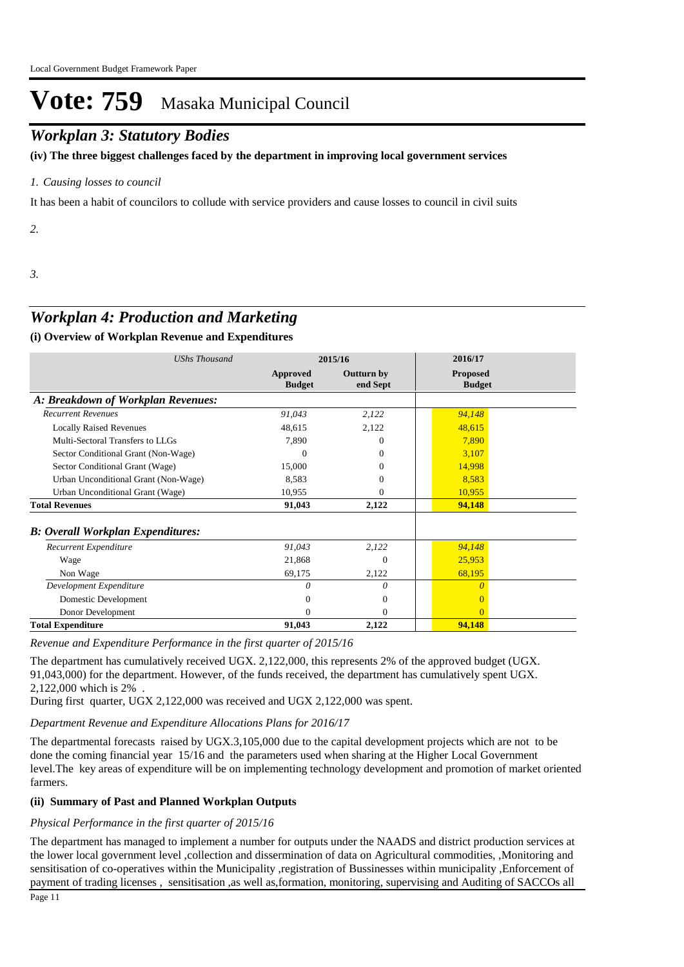## *Workplan 3: Statutory Bodies*

**(iv) The three biggest challenges faced by the department in improving local government services**

### *Causing losses to council 1.*

It has been a habit of councilors to collude with service providers and cause losses to council in civil suits

*2.*

*3.*

## *Workplan 4: Production and Marketing*

**(i) Overview of Workplan Revenue and Expenditures**

| <b>UShs Thousand</b>                      |                           | 2015/16                | 2016/17                          |
|-------------------------------------------|---------------------------|------------------------|----------------------------------|
|                                           | Approved<br><b>Budget</b> | Outturn by<br>end Sept | <b>Proposed</b><br><b>Budget</b> |
| A: Breakdown of Workplan Revenues:        |                           |                        |                                  |
| <b>Recurrent Revenues</b>                 | 91,043                    | 2,122                  | 94,148                           |
| <b>Locally Raised Revenues</b>            | 48,615                    | 2,122                  | 48,615                           |
| Multi-Sectoral Transfers to LLGs          | 7,890                     | 0                      | 7,890                            |
| Sector Conditional Grant (Non-Wage)       | $\Omega$                  | $^{(1)}$               | 3,107                            |
| Sector Conditional Grant (Wage)           | 15,000                    | 0                      | 14,998                           |
| Urban Unconditional Grant (Non-Wage)      | 8.583                     | 0                      | 8,583                            |
| Urban Unconditional Grant (Wage)          | 10,955                    | 0                      | 10,955                           |
| <b>Total Revenues</b>                     | 91,043                    | 2,122                  | 94,148                           |
| <b>B</b> : Overall Workplan Expenditures: |                           |                        |                                  |
| Recurrent Expenditure                     | 91,043                    | 2,122                  | 94,148                           |
| Wage                                      | 21,868                    | $\theta$               | 25,953                           |
| Non Wage                                  | 69,175                    | 2,122                  | 68,195                           |
| Development Expenditure                   |                           | 0                      |                                  |
| Domestic Development                      | $\theta$                  | $\mathbf{0}$           |                                  |
| Donor Development                         | $\Omega$                  | $\Omega$               | $\Omega$                         |
| <b>Total Expenditure</b>                  | 91,043                    | 2,122                  | 94,148                           |

*Revenue and Expenditure Performance in the first quarter of 2015/16*

The department has cumulatively received UGX. 2,122,000, this represents 2% of the approved budget (UGX. 91,043,000) for the department. However, of the funds received, the department has cumulatively spent UGX. 2,122,000 which is 2% .

During first quarter, UGX 2,122,000 was received and UGX 2,122,000 was spent.

*Department Revenue and Expenditure Allocations Plans for 2016/17*

The departmental forecasts raised by UGX.3,105,000 due to the capital development projects which are not to be done the coming financial year 15/16 and the parameters used when sharing at the Higher Local Government level.The key areas of expenditure will be on implementing technology development and promotion of market oriented farmers.

### **(ii) Summary of Past and Planned Workplan Outputs**

### *Physical Performance in the first quarter of 2015/16*

The department has managed to implement a number for outputs under the NAADS and district production services at the lower local government level ,collection and dissermination of data on Agricultural commodities, ,Monitoring and sensitisation of co-operatives within the Municipality ,registration of Bussinesses within municipality ,Enforcement of payment of trading licenses , sensitisation ,as well as,formation, monitoring, supervising and Auditing of SACCOs all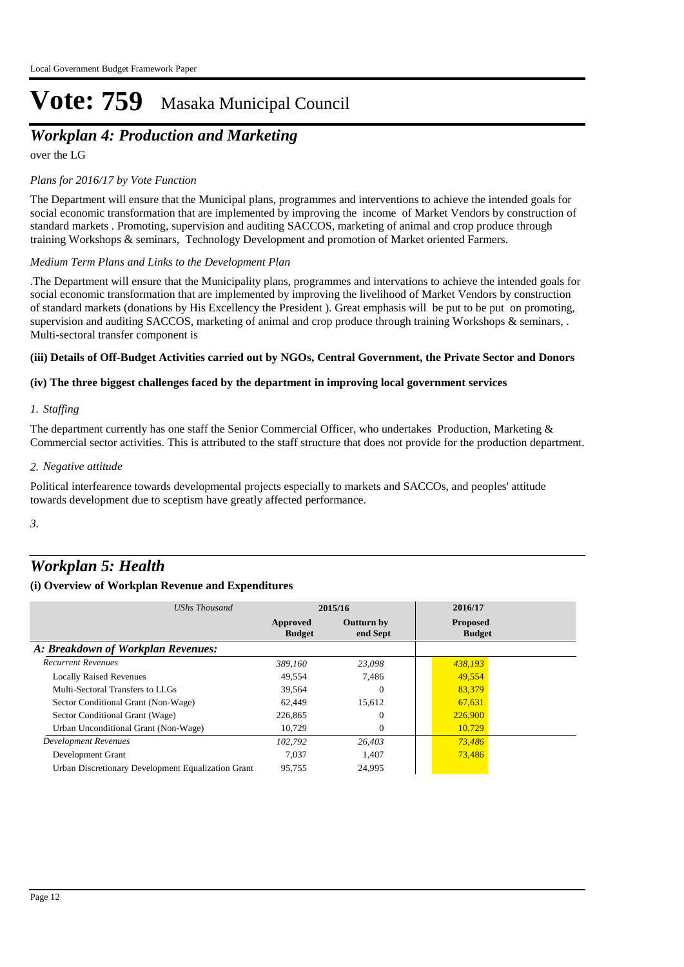# *Workplan 4: Production and Marketing*

over the LG

### *Plans for 2016/17 by Vote Function*

The Department will ensure that the Municipal plans, programmes and interventions to achieve the intended goals for social economic transformation that are implemented by improving the income of Market Vendors by construction of standard markets . Promoting, supervision and auditing SACCOS, marketing of animal and crop produce through training Workshops & seminars, Technology Development and promotion of Market oriented Farmers.

### *Medium Term Plans and Links to the Development Plan*

.The Department will ensure that the Municipality plans, programmes and intervations to achieve the intended goals for social economic transformation that are implemented by improving the livelihood of Market Vendors by construction of standard markets (donations by His Excellency the President ). Great emphasis will be put to be put on promoting, supervision and auditing SACCOS, marketing of animal and crop produce through training Workshops & seminars, . Multi-sectoral transfer component is

#### **(iii) Details of Off-Budget Activities carried out by NGOs, Central Government, the Private Sector and Donors**

#### **(iv) The three biggest challenges faced by the department in improving local government services**

*Staffing 1.*

The department currently has one staff the Senior Commercial Officer, who undertakes Production, Marketing & Commercial sector activities. This is attributed to the staff structure that does not provide for the production department.

#### *Negative attitude 2.*

Political interfearence towards developmental projects especially to markets and SACCOs, and peoples' attitude towards development due to sceptism have greatly affected performance.

*3.*

# *Workplan 5: Health*

### **(i) Overview of Workplan Revenue and Expenditures**

| UShs Thousand                                      | 2015/16                   |                               | 2016/17                          |
|----------------------------------------------------|---------------------------|-------------------------------|----------------------------------|
|                                                    | Approved<br><b>Budget</b> | <b>Outturn by</b><br>end Sept | <b>Proposed</b><br><b>Budget</b> |
| A: Breakdown of Workplan Revenues:                 |                           |                               |                                  |
| <b>Recurrent Revenues</b>                          | 389.160                   | 23,098                        | 438,193                          |
| <b>Locally Raised Revenues</b>                     | 49,554                    | 7.486                         | 49,554                           |
| Multi-Sectoral Transfers to LLGs                   | 39,564                    | $^{(1)}$                      | 83,379                           |
| Sector Conditional Grant (Non-Wage)                | 62,449                    | 15,612                        | 67,631                           |
| Sector Conditional Grant (Wage)                    | 226,865                   |                               | 226,900                          |
| Urban Unconditional Grant (Non-Wage)               | 10,729                    | $\Omega$                      | 10,729                           |
| Development Revenues                               | 102,792                   | 26,403                        | 73,486                           |
| Development Grant                                  | 7.037                     | 1.407                         | 73,486                           |
| Urban Discretionary Development Equalization Grant | 95.755                    | 24.995                        |                                  |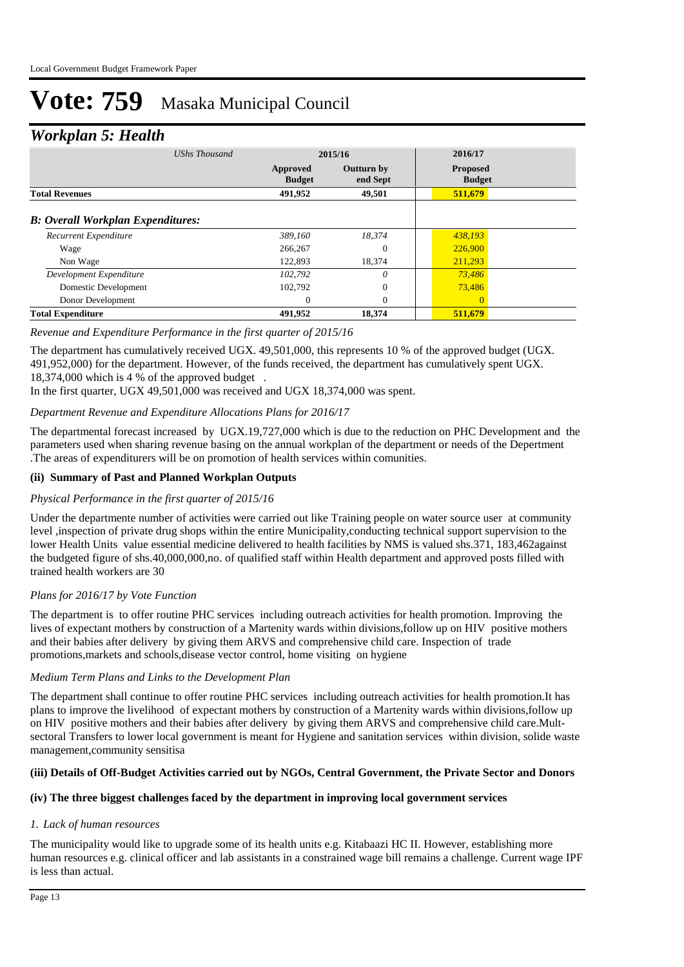## *Workplan 5: Health*

| <b>UShs Thousand</b>                     |                           | 2015/16                       |                                  |  |
|------------------------------------------|---------------------------|-------------------------------|----------------------------------|--|
|                                          | Approved<br><b>Budget</b> | <b>Outturn by</b><br>end Sept | <b>Proposed</b><br><b>Budget</b> |  |
| <b>Total Revenues</b>                    | 491,952                   | 49,501                        | 511,679                          |  |
| <b>B: Overall Workplan Expenditures:</b> |                           |                               |                                  |  |
| Recurrent Expenditure                    | 389,160                   | 18.374                        | 438.193                          |  |
| Wage                                     | 266,267                   | $\Omega$                      | 226,900                          |  |
| Non Wage                                 | 122,893                   | 18,374                        | 211,293                          |  |
| Development Expenditure                  | 102.792                   | 0                             | 73,486                           |  |
| Domestic Development                     | 102,792                   | $\Omega$                      | 73,486                           |  |
| Donor Development                        | $\Omega$                  | $\theta$                      | $\Omega$                         |  |
| <b>Total Expenditure</b>                 | 491,952                   | 18,374                        | 511,679                          |  |

#### *Revenue and Expenditure Performance in the first quarter of 2015/16*

The department has cumulatively received UGX. 49,501,000, this represents 10 % of the approved budget (UGX. 491,952,000) for the department. However, of the funds received, the department has cumulatively spent UGX. 18,374,000 which is 4 % of the approved budget .

In the first quarter, UGX 49,501,000 was received and UGX 18,374,000 was spent.

#### *Department Revenue and Expenditure Allocations Plans for 2016/17*

The departmental forecast increased by UGX.19,727,000 which is due to the reduction on PHC Development and the parameters used when sharing revenue basing on the annual workplan of the department or needs of the Depertment .The areas of expenditurers will be on promotion of health services within comunities.

#### **(ii) Summary of Past and Planned Workplan Outputs**

#### *Physical Performance in the first quarter of 2015/16*

Under the departmente number of activities were carried out like Training people on water source user at community level ,inspection of private drug shops within the entire Municipality,conducting technical support supervision to the lower Health Units value essential medicine delivered to health facilities by NMS is valued shs.371, 183,462against the budgeted figure of shs.40,000,000,no. of qualified staff within Health department and approved posts filled with trained health workers are 30

#### *Plans for 2016/17 by Vote Function*

The department is to offer routine PHC services including outreach activities for health promotion. Improving the lives of expectant mothers by construction of a Martenity wards within divisions,follow up on HIV positive mothers and their babies after delivery by giving them ARVS and comprehensive child care. Inspection of trade promotions,markets and schools,disease vector control, home visiting on hygiene

#### *Medium Term Plans and Links to the Development Plan*

The department shall continue to offer routine PHC services including outreach activities for health promotion.It has plans to improve the livelihood of expectant mothers by construction of a Martenity wards within divisions,follow up on HIV positive mothers and their babies after delivery by giving them ARVS and comprehensive child care.Multsectoral Transfers to lower local government is meant for Hygiene and sanitation services within division, solide waste management,community sensitisa

#### **(iii) Details of Off-Budget Activities carried out by NGOs, Central Government, the Private Sector and Donors**

#### **(iv) The three biggest challenges faced by the department in improving local government services**

#### *Lack of human resources 1.*

The municipality would like to upgrade some of its health units e.g. Kitabaazi HC II. However, establishing more human resources e.g. clinical officer and lab assistants in a constrained wage bill remains a challenge. Current wage IPF is less than actual.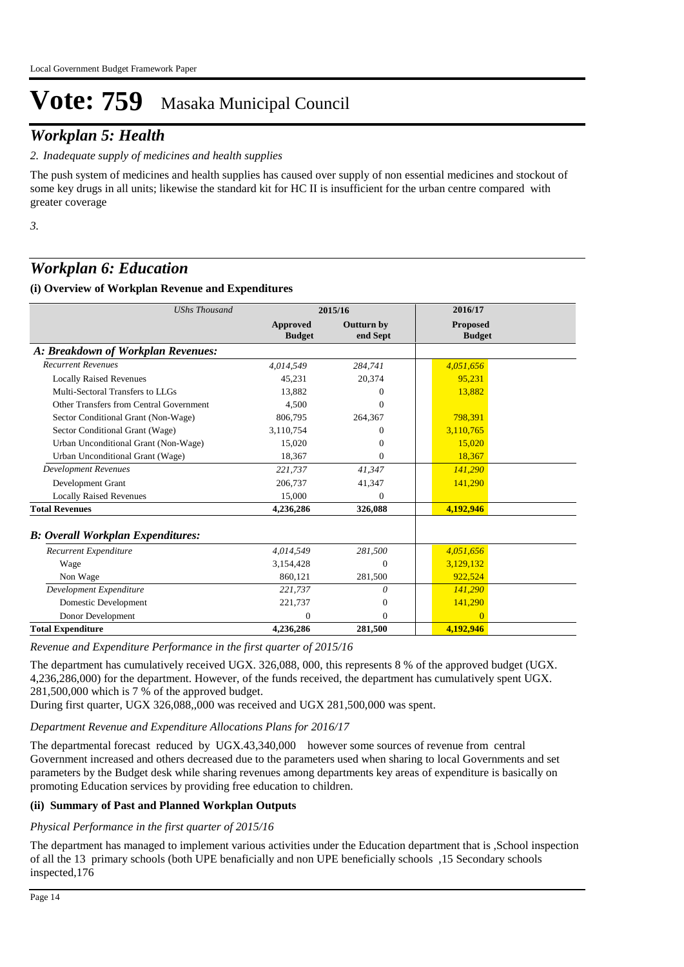## *Workplan 5: Health*

#### *Inadequate supply of medicines and health supplies 2.*

The push system of medicines and health supplies has caused over supply of non essential medicines and stockout of some key drugs in all units; likewise the standard kit for HC II is insufficient for the urban centre compared with greater coverage

*3.*

## *Workplan 6: Education*

## **(i) Overview of Workplan Revenue and Expenditures**

| <b>UShs Thousand</b>                     |                           | 2015/16                       | 2016/17                          |  |
|------------------------------------------|---------------------------|-------------------------------|----------------------------------|--|
|                                          | Approved<br><b>Budget</b> | <b>Outturn</b> by<br>end Sept | <b>Proposed</b><br><b>Budget</b> |  |
| A: Breakdown of Workplan Revenues:       |                           |                               |                                  |  |
| <b>Recurrent Revenues</b>                | 4,014,549                 | 284,741                       | 4,051,656                        |  |
| <b>Locally Raised Revenues</b>           | 45,231                    | 20,374                        | 95,231                           |  |
| Multi-Sectoral Transfers to LLGs         | 13,882                    | 0                             | 13,882                           |  |
| Other Transfers from Central Government  | 4.500                     | $\Omega$                      |                                  |  |
| Sector Conditional Grant (Non-Wage)      | 806,795                   | 264,367                       | 798,391                          |  |
| Sector Conditional Grant (Wage)          | 3,110,754                 | 0                             | 3,110,765                        |  |
| Urban Unconditional Grant (Non-Wage)     | 15,020                    | 0                             | 15,020                           |  |
| Urban Unconditional Grant (Wage)         | 18,367                    | $\Omega$                      | 18,367                           |  |
| <b>Development Revenues</b>              | 221,737                   | 41,347                        | 141,290                          |  |
| Development Grant                        | 206,737                   | 41,347                        | 141,290                          |  |
| <b>Locally Raised Revenues</b>           | 15,000                    | $\Omega$                      |                                  |  |
| <b>Total Revenues</b>                    | 4,236,286                 | 326,088                       | 4,192,946                        |  |
| <b>B: Overall Workplan Expenditures:</b> |                           |                               |                                  |  |
| Recurrent Expenditure                    | 4,014,549                 | 281,500                       | 4,051,656                        |  |
| Wage                                     | 3,154,428                 | 0                             | 3,129,132                        |  |
| Non Wage                                 | 860,121                   | 281,500                       | 922,524                          |  |
| Development Expenditure                  | 221.737                   | 0                             | 141.290                          |  |
| Domestic Development                     | 221,737                   | $\mathbf{0}$                  | 141,290                          |  |
| Donor Development                        | $\Omega$                  | $\Omega$                      | $\Omega$                         |  |
| <b>Total Expenditure</b>                 | 4,236,286                 | 281,500                       | 4,192,946                        |  |

*Revenue and Expenditure Performance in the first quarter of 2015/16*

The department has cumulatively received UGX. 326,088, 000, this represents 8 % of the approved budget (UGX. 4,236,286,000) for the department. However, of the funds received, the department has cumulatively spent UGX. 281,500,000 which is 7 % of the approved budget.

During first quarter, UGX 326,088,,000 was received and UGX 281,500,000 was spent.

#### *Department Revenue and Expenditure Allocations Plans for 2016/17*

The departmental forecast reduced by UGX.43,340,000 however some sources of revenue from central Government increased and others decreased due to the parameters used when sharing to local Governments and set parameters by the Budget desk while sharing revenues among departments key areas of expenditure is basically on promoting Education services by providing free education to children.

#### **(ii) Summary of Past and Planned Workplan Outputs**

#### *Physical Performance in the first quarter of 2015/16*

The department has managed to implement various activities under the Education department that is ,School inspection of all the 13 primary schools (both UPE benaficially and non UPE beneficially schools ,15 Secondary schools inspected,176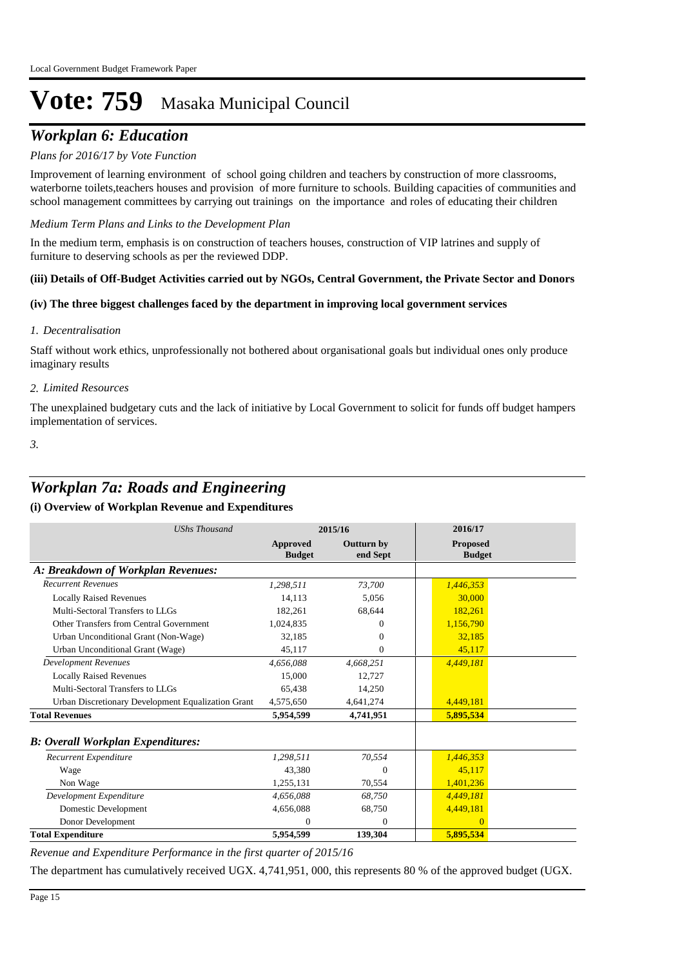## *Workplan 6: Education*

### *Plans for 2016/17 by Vote Function*

Improvement of learning environment of school going children and teachers by construction of more classrooms, waterborne toilets,teachers houses and provision of more furniture to schools. Building capacities of communities and school management committees by carrying out trainings on the importance and roles of educating their children

*Medium Term Plans and Links to the Development Plan*

In the medium term, emphasis is on construction of teachers houses, construction of VIP latrines and supply of furniture to deserving schools as per the reviewed DDP.

#### **(iii) Details of Off-Budget Activities carried out by NGOs, Central Government, the Private Sector and Donors**

#### **(iv) The three biggest challenges faced by the department in improving local government services**

#### *Decentralisation 1.*

Staff without work ethics, unprofessionally not bothered about organisational goals but individual ones only produce imaginary results

#### *Limited Resources 2.*

The unexplained budgetary cuts and the lack of initiative by Local Government to solicit for funds off budget hampers implementation of services.

*3.*

## *Workplan 7a: Roads and Engineering*

#### **(i) Overview of Workplan Revenue and Expenditures**

| <b>UShs Thousand</b>                               |                           | 2015/16                       | 2016/17                          |
|----------------------------------------------------|---------------------------|-------------------------------|----------------------------------|
|                                                    | Approved<br><b>Budget</b> | <b>Outturn by</b><br>end Sept | <b>Proposed</b><br><b>Budget</b> |
| A: Breakdown of Workplan Revenues:                 |                           |                               |                                  |
| <b>Recurrent Revenues</b>                          | 1,298,511                 | 73,700                        | 1,446,353                        |
| <b>Locally Raised Revenues</b>                     | 14,113                    | 5,056                         | 30,000                           |
| Multi-Sectoral Transfers to LLGs                   | 182,261                   | 68,644                        | 182,261                          |
| Other Transfers from Central Government            | 1,024,835                 | $^{0}$                        | 1,156,790                        |
| Urban Unconditional Grant (Non-Wage)               | 32,185                    | $\Omega$                      | 32,185                           |
| Urban Unconditional Grant (Wage)                   | 45,117                    | $\mathbf{0}$                  | 45,117                           |
| <b>Development Revenues</b>                        | 4,656,088                 | 4,668,251                     | 4,449,181                        |
| <b>Locally Raised Revenues</b>                     | 15,000                    | 12,727                        |                                  |
| Multi-Sectoral Transfers to LLGs                   | 65,438                    | 14,250                        |                                  |
| Urban Discretionary Development Equalization Grant | 4,575,650                 | 4,641,274                     | 4,449,181                        |
| <b>Total Revenues</b>                              | 5,954,599                 | 4,741,951                     | 5,895,534                        |
| <b>B: Overall Workplan Expenditures:</b>           |                           |                               |                                  |
| Recurrent Expenditure                              | 1.298.511                 | 70,554                        | 1,446,353                        |
| Wage                                               | 43.380                    | $\mathbf{0}$                  | 45,117                           |
| Non Wage                                           | 1,255,131                 | 70,554                        | 1,401,236                        |
| Development Expenditure                            | 4,656,088                 | 68,750                        | 4,449,181                        |
| Domestic Development                               | 4,656,088                 | 68,750                        | 4,449,181                        |
| Donor Development                                  | $\Omega$                  | $\mathbf{0}$                  | $\overline{0}$                   |
| <b>Total Expenditure</b>                           | 5,954,599                 | 139,304                       | 5,895,534                        |

*Revenue and Expenditure Performance in the first quarter of 2015/16*

The department has cumulatively received UGX. 4,741,951, 000, this represents 80 % of the approved budget (UGX.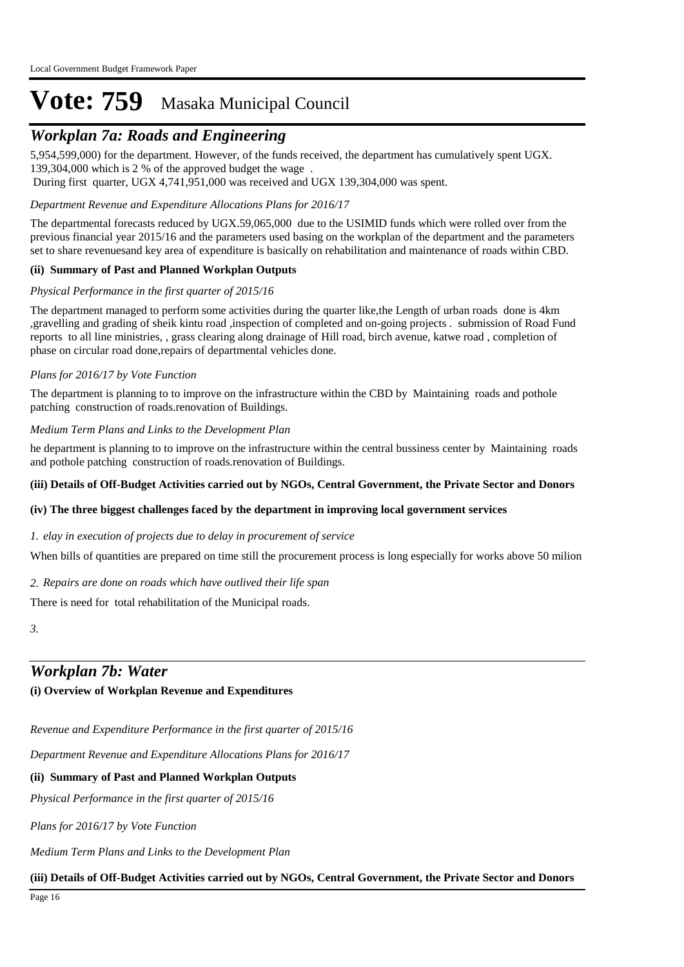## *Workplan 7a: Roads and Engineering*

5,954,599,000) for the department. However, of the funds received, the department has cumulatively spent UGX. 139,304,000 which is 2 % of the approved budget the wage . During first quarter, UGX 4,741,951,000 was received and UGX 139,304,000 was spent.

*Department Revenue and Expenditure Allocations Plans for 2016/17*

The departmental forecasts reduced by UGX.59,065,000 due to the USIMID funds which were rolled over from the previous financial year 2015/16 and the parameters used basing on the workplan of the department and the parameters set to share revenuesand key area of expenditure is basically on rehabilitation and maintenance of roads within CBD.

### **(ii) Summary of Past and Planned Workplan Outputs**

#### *Physical Performance in the first quarter of 2015/16*

The department managed to perform some activities during the quarter like,the Length of urban roads done is 4km ,gravelling and grading of sheik kintu road ,inspection of completed and on-going projects . submission of Road Fund reports to all line ministries, , grass clearing along drainage of Hill road, birch avenue, katwe road , completion of phase on circular road done,repairs of departmental vehicles done.

#### *Plans for 2016/17 by Vote Function*

The department is planning to to improve on the infrastructure within the CBD by Maintaining roads and pothole patching construction of roads.renovation of Buildings.

*Medium Term Plans and Links to the Development Plan*

he department is planning to to improve on the infrastructure within the central bussiness center by Maintaining roads and pothole patching construction of roads.renovation of Buildings.

### **(iii) Details of Off-Budget Activities carried out by NGOs, Central Government, the Private Sector and Donors**

#### **(iv) The three biggest challenges faced by the department in improving local government services**

#### *elay in execution of projects due to delay in procurement of service 1.*

When bills of quantities are prepared on time still the procurement process is long especially for works above 50 milion

#### *Repairs are done on roads which have outlived their life span 2.*

There is need for total rehabilitation of the Municipal roads.

*3.*

## *Workplan 7b: Water*

### **(i) Overview of Workplan Revenue and Expenditures**

*Revenue and Expenditure Performance in the first quarter of 2015/16*

*Department Revenue and Expenditure Allocations Plans for 2016/17*

### **(ii) Summary of Past and Planned Workplan Outputs**

*Physical Performance in the first quarter of 2015/16*

*Plans for 2016/17 by Vote Function*

*Medium Term Plans and Links to the Development Plan*

### **(iii) Details of Off-Budget Activities carried out by NGOs, Central Government, the Private Sector and Donors**

Page 16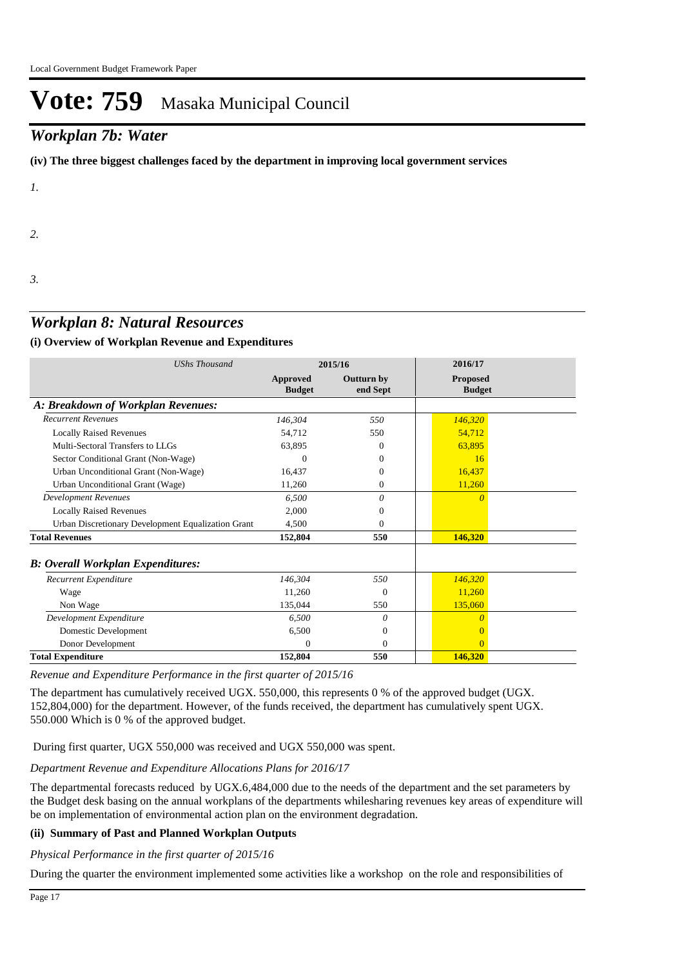## *Workplan 7b: Water*

**(iv) The three biggest challenges faced by the department in improving local government services**

*1.*

*2.*

*3.*

## *Workplan 8: Natural Resources*

#### **(i) Overview of Workplan Revenue and Expenditures**

| <b>UShs Thousand</b>                               |                           | 2015/16                | 2016/17                          |  |
|----------------------------------------------------|---------------------------|------------------------|----------------------------------|--|
|                                                    | Approved<br><b>Budget</b> | Outturn by<br>end Sept | <b>Proposed</b><br><b>Budget</b> |  |
| A: Breakdown of Workplan Revenues:                 |                           |                        |                                  |  |
| <b>Recurrent Revenues</b>                          | 146.304                   | 550                    | 146,320                          |  |
| <b>Locally Raised Revenues</b>                     | 54,712                    | 550                    | 54,712                           |  |
| Multi-Sectoral Transfers to LLGs                   | 63,895                    | 0                      | 63,895                           |  |
| Sector Conditional Grant (Non-Wage)                | $\Omega$                  | 0                      | 16                               |  |
| Urban Unconditional Grant (Non-Wage)               | 16,437                    | 0                      | 16,437                           |  |
| Urban Unconditional Grant (Wage)                   | 11,260                    | 0                      | 11,260                           |  |
| <b>Development Revenues</b>                        | 6.500                     | 0                      | $\Omega$                         |  |
| <b>Locally Raised Revenues</b>                     | 2,000                     | 0                      |                                  |  |
| Urban Discretionary Development Equalization Grant | 4,500                     | 0                      |                                  |  |
| <b>Total Revenues</b>                              | 152,804                   | 550                    | 146,320                          |  |
| <b>B: Overall Workplan Expenditures:</b>           |                           |                        |                                  |  |
| Recurrent Expenditure                              | 146,304                   | 550                    | 146,320                          |  |
| Wage                                               | 11,260                    | $\Omega$               | 11,260                           |  |
| Non Wage                                           | 135,044                   | 550                    | 135,060                          |  |
| Development Expenditure                            | 6,500                     | 0                      |                                  |  |
| Domestic Development                               | 6,500                     | $\mathbf{0}$           |                                  |  |
| Donor Development                                  | $\Omega$                  | $\mathbf{0}$           | $\Omega$                         |  |
| <b>Total Expenditure</b>                           | 152,804                   | 550                    | 146,320                          |  |

*Revenue and Expenditure Performance in the first quarter of 2015/16*

The department has cumulatively received UGX. 550,000, this represents 0 % of the approved budget (UGX. 152,804,000) for the department. However, of the funds received, the department has cumulatively spent UGX. 550.000 Which is 0 % of the approved budget.

During first quarter, UGX 550,000 was received and UGX 550,000 was spent.

#### *Department Revenue and Expenditure Allocations Plans for 2016/17*

The departmental forecasts reduced by UGX.6,484,000 due to the needs of the department and the set parameters by the Budget desk basing on the annual workplans of the departments whilesharing revenues key areas of expenditure will be on implementation of environmental action plan on the environment degradation.

#### **(ii) Summary of Past and Planned Workplan Outputs**

*Physical Performance in the first quarter of 2015/16*

During the quarter the environment implemented some activities like a workshop on the role and responsibilities of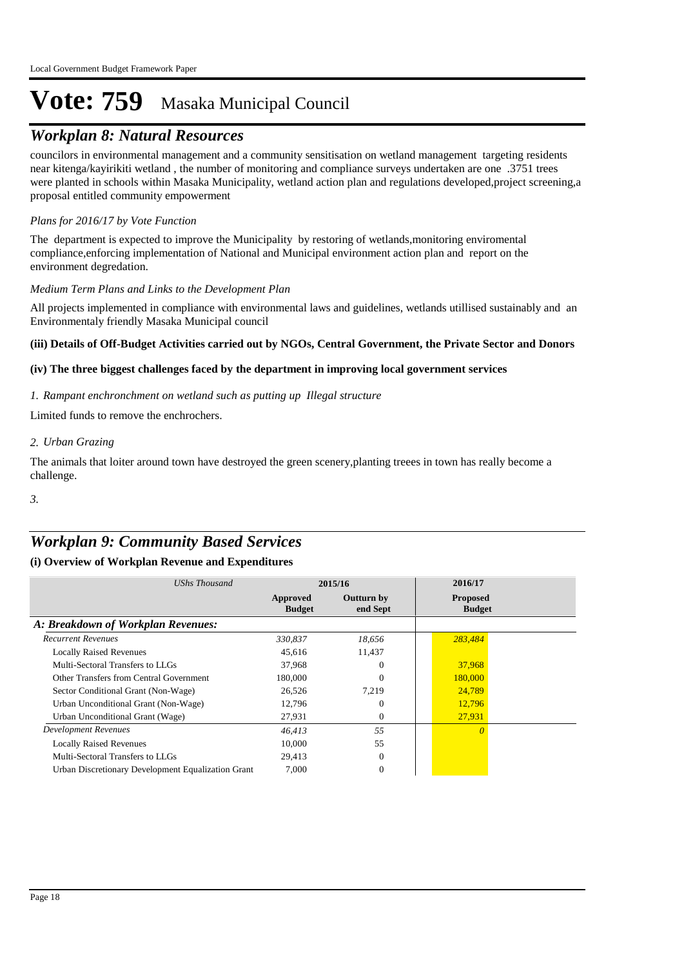## *Workplan 8: Natural Resources*

councilors in environmental management and a community sensitisation on wetland management targeting residents near kitenga/kayirikiti wetland , the number of monitoring and compliance surveys undertaken are one .3751 trees were planted in schools within Masaka Municipality, wetland action plan and regulations developed,project screening,a proposal entitled community empowerment

### *Plans for 2016/17 by Vote Function*

The department is expected to improve the Municipality by restoring of wetlands,monitoring enviromental compliance,enforcing implementation of National and Municipal environment action plan and report on the environment degredation.

#### *Medium Term Plans and Links to the Development Plan*

All projects implemented in compliance with environmental laws and guidelines, wetlands utillised sustainably and an Environmentaly friendly Masaka Municipal council

#### **(iii) Details of Off-Budget Activities carried out by NGOs, Central Government, the Private Sector and Donors**

#### **(iv) The three biggest challenges faced by the department in improving local government services**

#### *Rampant enchronchment on wetland such as putting up Illegal structure 1.*

Limited funds to remove the enchrochers.

#### *Urban Grazing 2.*

The animals that loiter around town have destroyed the green scenery,planting treees in town has really become a challenge.

*3.*

# *Workplan 9: Community Based Services*

### **(i) Overview of Workplan Revenue and Expenditures**

| <b>UShs Thousand</b>                               | 2015/16                   |                               | 2016/17                          |  |
|----------------------------------------------------|---------------------------|-------------------------------|----------------------------------|--|
|                                                    | Approved<br><b>Budget</b> | <b>Outturn by</b><br>end Sept | <b>Proposed</b><br><b>Budget</b> |  |
| A: Breakdown of Workplan Revenues:                 |                           |                               |                                  |  |
| <b>Recurrent Revenues</b>                          | 330,837                   | 18,656                        | 283,484                          |  |
| <b>Locally Raised Revenues</b>                     | 45,616                    | 11,437                        |                                  |  |
| Multi-Sectoral Transfers to LLGs                   | 37,968                    | 0                             | 37,968                           |  |
| Other Transfers from Central Government            | 180,000                   | $\Omega$                      | 180,000                          |  |
| Sector Conditional Grant (Non-Wage)                | 26,526                    | 7,219                         | 24,789                           |  |
| Urban Unconditional Grant (Non-Wage)               | 12,796                    | $^{(1)}$                      | 12,796                           |  |
| Urban Unconditional Grant (Wage)                   | 27,931                    | $\Omega$                      | 27,931                           |  |
| <b>Development Revenues</b>                        | 46,413                    | 55                            | $\Omega$                         |  |
| <b>Locally Raised Revenues</b>                     | 10,000                    | 55                            |                                  |  |
| Multi-Sectoral Transfers to LLGs                   | 29,413                    | $\Omega$                      |                                  |  |
| Urban Discretionary Development Equalization Grant | 7.000                     | $\mathbf{0}$                  |                                  |  |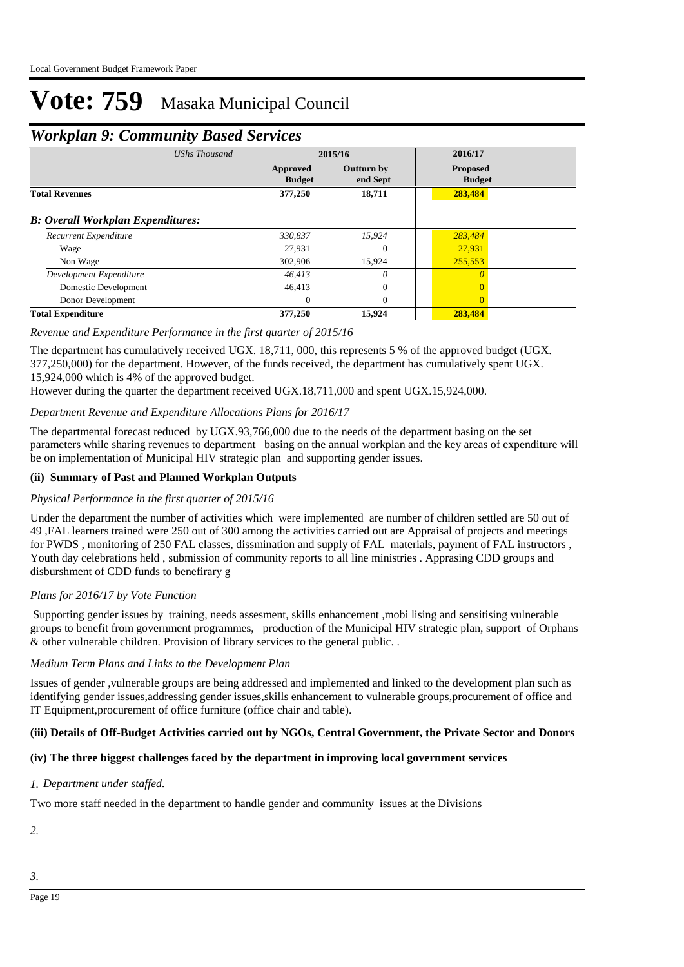## *Workplan 9: Community Based Services*

| <b>UShs Thousand</b>                     |                           | 2015/16                       |                                  |  |
|------------------------------------------|---------------------------|-------------------------------|----------------------------------|--|
|                                          | Approved<br><b>Budget</b> | <b>Outturn by</b><br>end Sept | <b>Proposed</b><br><b>Budget</b> |  |
| <b>Total Revenues</b>                    | 377,250                   | 18,711                        | 283,484                          |  |
| <b>B: Overall Workplan Expenditures:</b> |                           |                               |                                  |  |
| Recurrent Expenditure                    | 330,837                   | 15.924                        | 283,484                          |  |
| Wage                                     | 27,931                    | $\Omega$                      | 27,931                           |  |
| Non Wage                                 | 302,906                   | 15,924                        | 255,553                          |  |
| Development Expenditure                  | 46,413                    | $\theta$                      | 0                                |  |
| Domestic Development                     | 46,413                    | $\mathbf{0}$                  | $\Omega$                         |  |
| Donor Development                        | $\Omega$                  | $\Omega$                      | $\Omega$                         |  |
| <b>Total Expenditure</b>                 | 377,250                   | 15,924                        | 283,484                          |  |

#### *Revenue and Expenditure Performance in the first quarter of 2015/16*

The department has cumulatively received UGX. 18,711, 000, this represents 5 % of the approved budget (UGX. 377,250,000) for the department. However, of the funds received, the department has cumulatively spent UGX. 15,924,000 which is 4% of the approved budget.

However during the quarter the department received UGX.18,711,000 and spent UGX.15,924,000.

#### *Department Revenue and Expenditure Allocations Plans for 2016/17*

The departmental forecast reduced by UGX.93,766,000 due to the needs of the department basing on the set parameters while sharing revenues to department basing on the annual workplan and the key areas of expenditure will be on implementation of Municipal HIV strategic plan and supporting gender issues.

#### **(ii) Summary of Past and Planned Workplan Outputs**

#### *Physical Performance in the first quarter of 2015/16*

Under the department the number of activities which were implemented are number of children settled are 50 out of 49 ,FAL learners trained were 250 out of 300 among the activities carried out are Appraisal of projects and meetings for PWDS , monitoring of 250 FAL classes, dissmination and supply of FAL materials, payment of FAL instructors , Youth day celebrations held , submission of community reports to all line ministries . Apprasing CDD groups and disburshment of CDD funds to benefirary g

#### *Plans for 2016/17 by Vote Function*

 Supporting gender issues by training, needs assesment, skills enhancement ,mobi lising and sensitising vulnerable groups to benefit from government programmes, production of the Municipal HIV strategic plan, support of Orphans & other vulnerable children. Provision of library services to the general public. .

#### *Medium Term Plans and Links to the Development Plan*

Issues of gender ,vulnerable groups are being addressed and implemented and linked to the development plan such as identifying gender issues,addressing gender issues,skills enhancement to vulnerable groups,procurement of office and IT Equipment,procurement of office furniture (office chair and table).

#### **(iii) Details of Off-Budget Activities carried out by NGOs, Central Government, the Private Sector and Donors**

#### **(iv) The three biggest challenges faced by the department in improving local government services**

#### *Department under staffed. 1.*

Two more staff needed in the department to handle gender and community issues at the Divisions

*2.*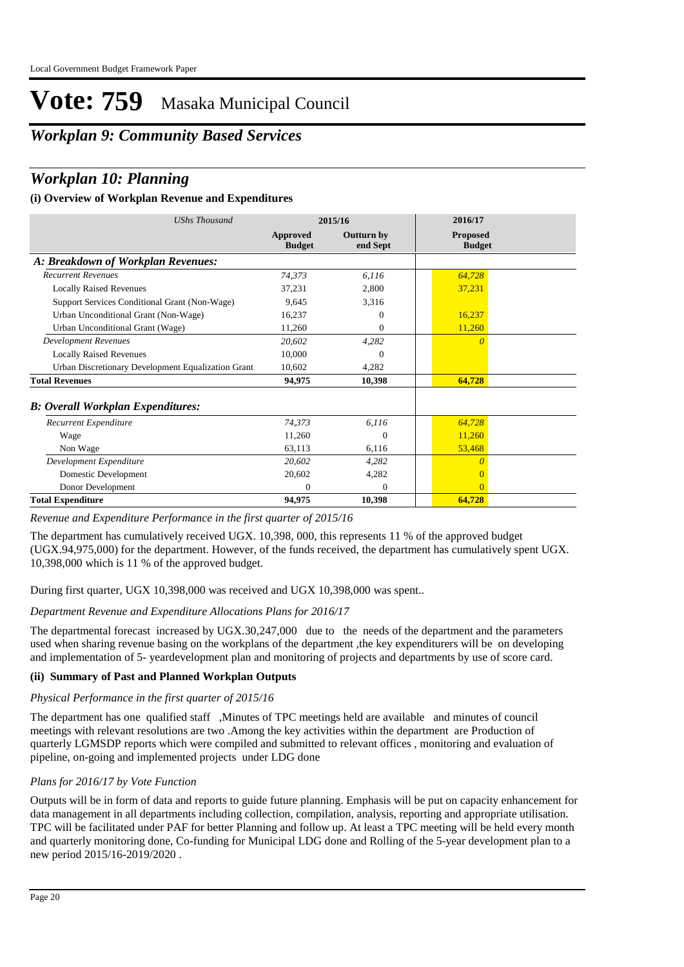# *Workplan 9: Community Based Services*

## *Workplan 10: Planning*

### **(i) Overview of Workplan Revenue and Expenditures**

| <b>UShs Thousand</b>                               | 2015/16                   |                               | 2016/17                          |  |
|----------------------------------------------------|---------------------------|-------------------------------|----------------------------------|--|
|                                                    | Approved<br><b>Budget</b> | <b>Outturn by</b><br>end Sept | <b>Proposed</b><br><b>Budget</b> |  |
| A: Breakdown of Workplan Revenues:                 |                           |                               |                                  |  |
| <b>Recurrent Revenues</b>                          | 74,373                    | 6,116                         | 64,728                           |  |
| <b>Locally Raised Revenues</b>                     | 37,231                    | 2,800                         | 37,231                           |  |
| Support Services Conditional Grant (Non-Wage)      | 9,645                     | 3,316                         |                                  |  |
| Urban Unconditional Grant (Non-Wage)               | 16,237                    | 0                             | 16,237                           |  |
| Urban Unconditional Grant (Wage)                   | 11,260                    | 0                             | 11,260                           |  |
| <b>Development Revenues</b>                        | 20,602                    | 4,282                         | $\Omega$                         |  |
| <b>Locally Raised Revenues</b>                     | 10,000                    | 0                             |                                  |  |
| Urban Discretionary Development Equalization Grant | 10,602                    | 4,282                         |                                  |  |
| <b>Total Revenues</b>                              | 94,975                    | 10,398                        | 64,728                           |  |
| <b>B: Overall Workplan Expenditures:</b>           |                           |                               |                                  |  |
| Recurrent Expenditure                              | 74,373                    | 6,116                         | 64,728                           |  |
| Wage                                               | 11,260                    | $\Omega$                      | 11,260                           |  |
| Non Wage                                           | 63,113                    | 6,116                         | 53,468                           |  |
| Development Expenditure                            | 20,602                    | 4,282                         | $\Omega$                         |  |
| Domestic Development                               | 20,602                    | 4,282                         | $\Omega$                         |  |
| Donor Development                                  | 0                         | $\Omega$                      | $\Omega$                         |  |
| <b>Total Expenditure</b>                           | 94,975                    | 10,398                        | 64,728                           |  |

*Revenue and Expenditure Performance in the first quarter of 2015/16*

The department has cumulatively received UGX. 10,398, 000, this represents 11 % of the approved budget (UGX.94,975,000) for the department. However, of the funds received, the department has cumulatively spent UGX. 10,398,000 which is 11 % of the approved budget.

During first quarter, UGX 10,398,000 was received and UGX 10,398,000 was spent..

#### *Department Revenue and Expenditure Allocations Plans for 2016/17*

The departmental forecast increased by UGX.30,247,000 due to the needs of the department and the parameters used when sharing revenue basing on the workplans of the department ,the key expenditurers will be on developing and implementation of 5- yeardevelopment plan and monitoring of projects and departments by use of score card.

#### **(ii) Summary of Past and Planned Workplan Outputs**

#### *Physical Performance in the first quarter of 2015/16*

The department has one qualified staff ,Minutes of TPC meetings held are available and minutes of council meetings with relevant resolutions are two .Among the key activities within the department are Production of quarterly LGMSDP reports which were compiled and submitted to relevant offices , monitoring and evaluation of pipeline, on-going and implemented projects under LDG done

#### *Plans for 2016/17 by Vote Function*

Outputs will be in form of data and reports to guide future planning. Emphasis will be put on capacity enhancement for data management in all departments including collection, compilation, analysis, reporting and appropriate utilisation. TPC will be facilitated under PAF for better Planning and follow up. At least a TPC meeting will be held every month and quarterly monitoring done, Co-funding for Municipal LDG done and Rolling of the 5-year development plan to a new period 2015/16-2019/2020 .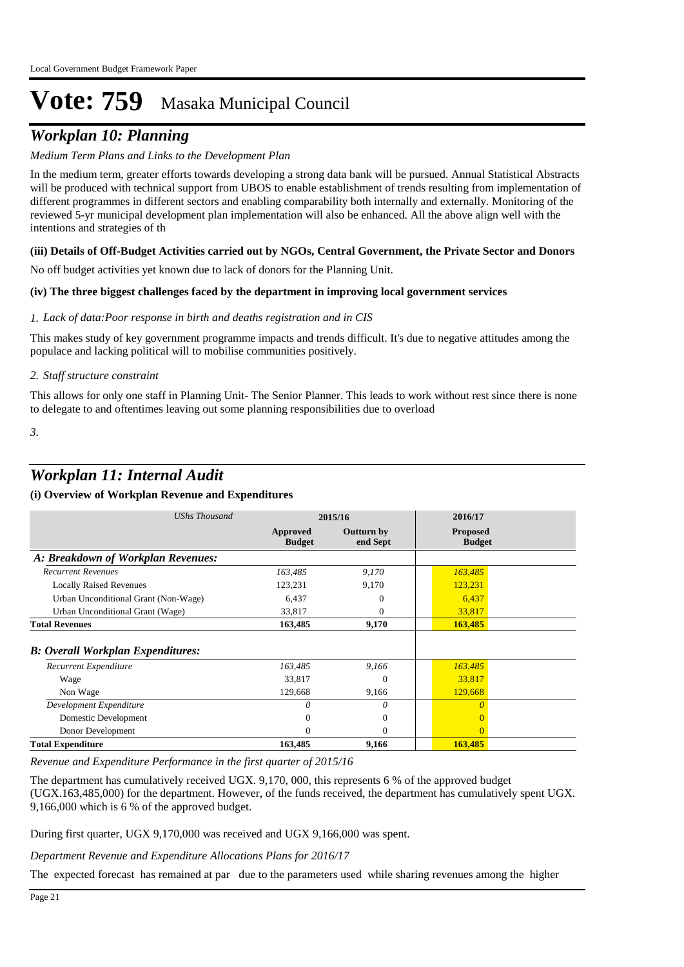## *Workplan 10: Planning*

### *Medium Term Plans and Links to the Development Plan*

In the medium term, greater efforts towards developing a strong data bank will be pursued. Annual Statistical Abstracts will be produced with technical support from UBOS to enable establishment of trends resulting from implementation of different programmes in different sectors and enabling comparability both internally and externally. Monitoring of the reviewed 5-yr municipal development plan implementation will also be enhanced. All the above align well with the intentions and strategies of th

#### **(iii) Details of Off-Budget Activities carried out by NGOs, Central Government, the Private Sector and Donors**

No off budget activities yet known due to lack of donors for the Planning Unit.

#### **(iv) The three biggest challenges faced by the department in improving local government services**

#### *Lack of data:Poor response in birth and deaths registration and in CIS 1.*

This makes study of key government programme impacts and trends difficult. It's due to negative attitudes among the populace and lacking political will to mobilise communities positively.

#### *Staff structure constraint 2.*

This allows for only one staff in Planning Unit- The Senior Planner. This leads to work without rest since there is none to delegate to and oftentimes leaving out some planning responsibilities due to overload

*3.*

## *Workplan 11: Internal Audit*

#### **(i) Overview of Workplan Revenue and Expenditures**

| UShs Thousand                            | 2015/16                   |                               | 2016/17                          |  |
|------------------------------------------|---------------------------|-------------------------------|----------------------------------|--|
|                                          | Approved<br><b>Budget</b> | <b>Outturn by</b><br>end Sept | <b>Proposed</b><br><b>Budget</b> |  |
| A: Breakdown of Workplan Revenues:       |                           |                               |                                  |  |
| <b>Recurrent Revenues</b>                | 163,485                   | 9,170                         | 163,485                          |  |
| <b>Locally Raised Revenues</b>           | 123,231                   | 9,170                         | 123,231                          |  |
| Urban Unconditional Grant (Non-Wage)     | 6,437                     | $\Omega$                      | 6,437                            |  |
| Urban Unconditional Grant (Wage)         | 33,817                    | $\mathbf{0}$                  | 33,817                           |  |
| <b>Total Revenues</b>                    | 163,485                   | 9,170                         | 163,485                          |  |
| <b>B: Overall Workplan Expenditures:</b> |                           |                               |                                  |  |
| Recurrent Expenditure                    | 163,485                   | 9,166                         | 163,485                          |  |
| Wage                                     | 33,817                    | $\Omega$                      | 33,817                           |  |
| Non Wage                                 | 129,668                   | 9,166                         | 129,668                          |  |
| Development Expenditure                  | 0                         | $\theta$                      |                                  |  |
| Domestic Development                     | 0                         | $\Omega$                      |                                  |  |
| Donor Development                        | 0                         | $\Omega$                      | $\Omega$                         |  |
| <b>Total Expenditure</b>                 | 163,485                   | 9,166                         | 163,485                          |  |

*Revenue and Expenditure Performance in the first quarter of 2015/16*

The department has cumulatively received UGX. 9,170, 000, this represents 6 % of the approved budget (UGX.163,485,000) for the department. However, of the funds received, the department has cumulatively spent UGX. 9,166,000 which is 6 % of the approved budget.

During first quarter, UGX 9,170,000 was received and UGX 9,166,000 was spent.

*Department Revenue and Expenditure Allocations Plans for 2016/17*

The expected forecast has remained at par due to the parameters used while sharing revenues among the higher